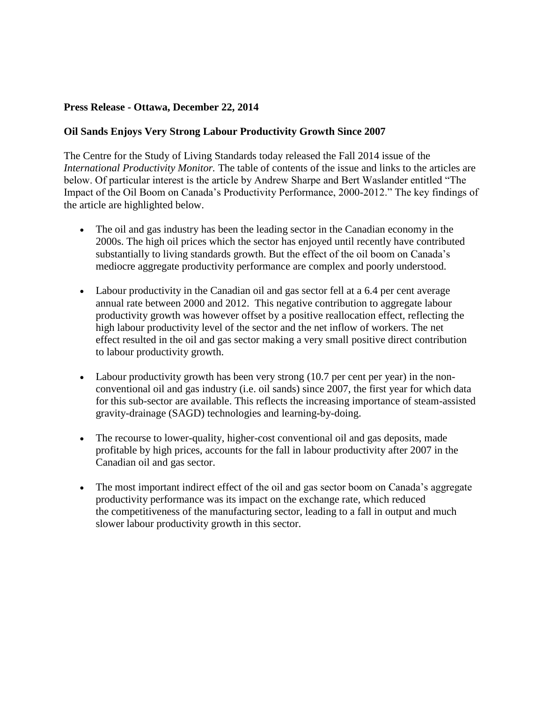## **Press Release - Ottawa, December 22, 2014**

## **Oil Sands Enjoys Very Strong Labour Productivity Growth Since 2007**

The Centre for the Study of Living Standards today released the Fall 2014 issue of the *International Productivity Monitor.* The table of contents of the issue and links to the articles are below. Of particular interest is the article by Andrew Sharpe and Bert Waslander entitled "The Impact of the Oil Boom on Canada's Productivity Performance, 2000-2012." The key findings of the article are highlighted below.

- The oil and gas industry has been the leading sector in the Canadian economy in the 2000s. The high oil prices which the sector has enjoyed until recently have contributed substantially to living standards growth. But the effect of the oil boom on Canada's mediocre aggregate productivity performance are complex and poorly understood.
- Labour productivity in the Canadian oil and gas sector fell at a 6.4 per cent average annual rate between 2000 and 2012. This negative contribution to aggregate labour productivity growth was however offset by a positive reallocation effect, reflecting the high labour productivity level of the sector and the net inflow of workers. The net effect resulted in the oil and gas sector making a very small positive direct contribution to labour productivity growth.
- Labour productivity growth has been very strong (10.7 per cent per year) in the nonconventional oil and gas industry (i.e. oil sands) since 2007, the first year for which data for this sub-sector are available. This reflects the increasing importance of steam-assisted gravity-drainage (SAGD) technologies and learning-by-doing.
- The recourse to lower-quality, higher-cost conventional oil and gas deposits, made profitable by high prices, accounts for the fall in labour productivity after 2007 in the Canadian oil and gas sector.
- The most important indirect effect of the oil and gas sector boom on Canada's aggregate productivity performance was its impact on the exchange rate, which reduced the competitiveness of the manufacturing sector, leading to a fall in output and much slower labour productivity growth in this sector.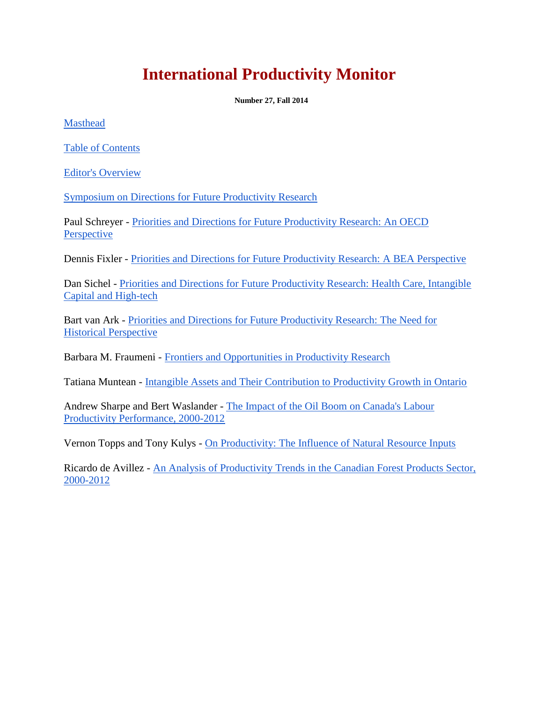## **International Productivity Monitor**

**Number 27, Fall 2014**

[Masthead](http://www.csls.ca/ipm/27/27-mh.pdf)

[Table of Contents](http://www.csls.ca/ipm/27/27-toc.pdf)

[Editor's Overview](http://www.csls.ca/ipm/27/27-eo.pdf)

[Symposium on Directions for Future Productivity Research](http://www.csls.ca/ipm/27/27-symp.pdf)

Paul Schreyer - [Priorities and Directions for Future Productivity Research: An OECD](http://www.csls.ca/ipm/27/27-ps.pdf)  [Perspective](http://www.csls.ca/ipm/27/27-ps.pdf)

Dennis Fixler - [Priorities and Directions for Future Productivity Research: A BEA Perspective](http://www.csls.ca/ipm/27/27-df.pdf)

Dan Sichel - [Priorities and Directions for Future Productivity Research: Health Care, Intangible](http://www.csls.ca/ipm/27/27-ds.pdf)  [Capital and High-tech](http://www.csls.ca/ipm/27/27-ds.pdf)

Bart van Ark - [Priorities and Directions for Future Productivity Research: The Need for](http://www.csls.ca/ipm/27/27-bva.pdf)  [Historical Perspective](http://www.csls.ca/ipm/27/27-bva.pdf)

Barbara M. Fraumeni - [Frontiers and Opportunities in Productivity Research](http://www.csls.ca/ipm/27/27-bmf.pdf)

Tatiana Muntean - [Intangible Assets and Their Contribution to Productivity Growth in Ontario](http://www.csls.ca/ipm/27/27-tm.pdf)

Andrew Sharpe and Bert Waslander - [The Impact of the Oil Boom on Canada's Labour](http://www.csls.ca/ipm/27/27-csls.pdf)  [Productivity Performance, 2000-2012](http://www.csls.ca/ipm/27/27-csls.pdf)

Vernon Topps and Tony Kulys - [On Productivity: The Influence of Natural Resource Inputs](http://www.csls.ca/ipm/27/27-vttk.pdf)

Ricardo de Avillez - [An Analysis of Productivity Trends in the Canadian Forest Products Sector,](http://www.csls.ca/ipm/27/27-rda.pdf)  [2000-2012](http://www.csls.ca/ipm/27/27-rda.pdf)